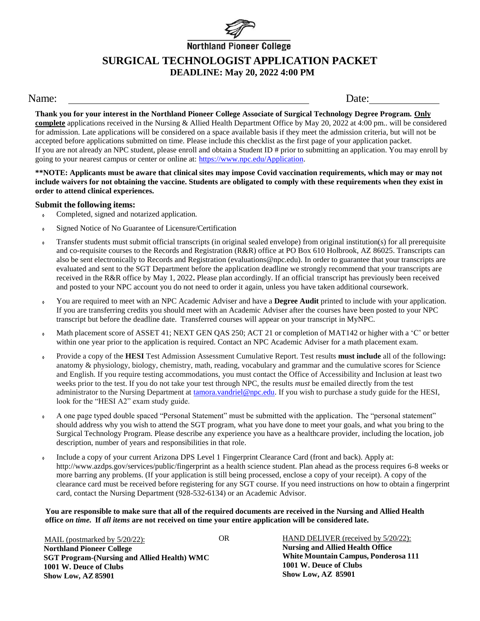

# **Northland Pioneer College SURGICAL TECHNOLOGIST APPLICATION PACKET DEADLINE: May 20, 2022 4:00 PM**

### Name: Date:

**Thank you for your interest in the Northland Pioneer College Associate of Surgical Technology Degree Program. Only complete** applications received in the Nursing & Allied Health Department Office by May 20, 2022 at 4:00 pm.. will be considered for admission. Late applications will be considered on a space available basis if they meet the admission criteria, but will not be accepted before applications submitted on time. Please include this checklist as the first page of your application packet. If you are not already an NPC student, please enroll and obtain a Student ID # prior to submitting an application. You may enroll by going to your nearest campus or center or online at: [https://www.npc.edu/Application.](https://www.npc.edu/Application)

\*\*NOTE: Applicants must be aware that clinical sites may impose Covid vaccination requirements, which may or may not **include waivers for not obtaining the vaccine. Students are obligated to comply with these requirements when they exist in order to attend clinical experiences.**

#### **Submit the following items:**

- Completed, signed and notarized application.
- Signed Notice of No Guarantee of Licensure/Certification
- Transfer students must submit official transcripts (in original sealed envelope) from original institution(s) for all prerequisite and co-requisite courses to the Records and Registration (R&R) office at PO Box 610 Holbrook, AZ 86025. Transcripts can also be sent electronically to Records and Registration (evaluations@npc.edu). In order to guarantee that your transcripts are evaluated and sent to the SGT Department before the application deadline we strongly recommend that your transcripts are received in the R&R office by May 1, 2022**.** Please plan accordingly. If an official transcript has previously been received and posted to your NPC account you do not need to order it again, unless you have taken additional coursework.
- You are required to meet with an NPC Academic Adviser and have a **Degree Audit** printed to include with your application. If you are transferring credits you should meet with an Academic Adviser after the courses have been posted to your NPC transcript but before the deadline date. Transferred courses will appear on your transcript in MyNPC.
- Math placement score of ASSET 41; NEXT GEN QAS 250; ACT 21 or completion of MAT142 or higher with a 'C' or better within one year prior to the application is required. Contact an NPC Academic Adviser for a math placement exam.
- Provide a copy of the **HESI** Test Admission Assessment Cumulative Report. Test results **must include** all of the following**:**  anatomy & physiology, biology, chemistry, math, reading, vocabulary and grammar and the cumulative scores for Science and English. If you require testing accommodations, you must contact the Office of Accessibility and Inclusion at least two weeks prior to the test. If you do not take your test through NPC, the results *must* be emailed directly from the test administrator to the Nursing Department at [tamora.vandriel@npc.edu.](mailto:tamora.vandriel@npc.edu) If you wish to purchase a study guide for the HESI, look for the "HESI A2" exam study guide.
- A one page typed double spaced "Personal Statement" must be submitted with the application. The "personal statement" should address why you wish to attend the SGT program, what you have done to meet your goals, and what you bring to the Surgical Technology Program. Please describe any experience you have as a healthcare provider, including the location, job description, number of years and responsibilities in that role.
- Include a copy of your current Arizona DPS Level 1 Fingerprint Clearance Card (front and back). Apply at: [http://www.azdps.gov/services/public/fingerprint a](http://www.azdps.gov/services/public/fingerprint)s a health science student. Plan ahead as the process requires 6-8 weeks or more barring any problems. (If your application is still being processed, enclose a copy of your receipt). A copy of the clearance card must be received before registering for any SGT course. If you need instructions on how to obtain a fingerprint card, contact the Nursing Department (928-532-6134) or an Academic Advisor.

You are responsible to make sure that all of the required documents are received in the Nursing and Allied Health **office** *on time.* **If** *all items* **are not received on time your entire application will be considered late.**

MAIL (postmarked by 5/20/22): OR **Northland Pioneer College SGT Program-(Nursing and Allied Health) WMC 1001 W. Deuce of Clubs Show Low, AZ 85901**

HAND DELIVER (received by 5/20/22): **Nursing and Allied Health Office White Mountain Campus, Ponderosa 111 1001 W. Deuce of Clubs Show Low, AZ 85901**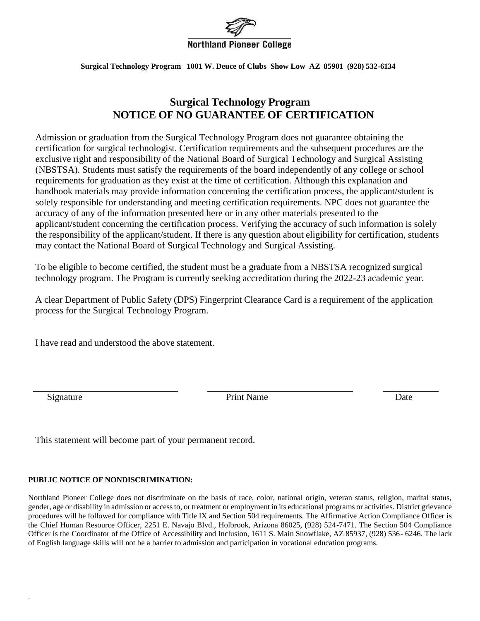

**Surgical Technology Program 1001 W. Deuce of Clubs Show Low AZ 85901 (928) 532-6134**

## **Surgical Technology Program NOTICE OF NO GUARANTEE OF CERTIFICATION**

Admission or graduation from the Surgical Technology Program does not guarantee obtaining the certification for surgical technologist. Certification requirements and the subsequent procedures are the exclusive right and responsibility of the National Board of Surgical Technology and Surgical Assisting (NBSTSA). Students must satisfy the requirements of the board independently of any college or school requirements for graduation as they exist at the time of certification. Although this explanation and handbook materials may provide information concerning the certification process, the applicant/student is solely responsible for understanding and meeting certification requirements. NPC does not guarantee the accuracy of any of the information presented here or in any other materials presented to the applicant/student concerning the certification process. Verifying the accuracy of such information is solely the responsibility of the applicant/student. If there is any question about eligibility for certification, students may contact the National Board of Surgical Technology and Surgical Assisting.

To be eligible to become certified, the student must be a graduate from a NBSTSA recognized surgical technology program. The Program is currently seeking accreditation during the 2022-23 academic year.

A clear Department of Public Safety (DPS) Fingerprint Clearance Card is a requirement of the application process for the Surgical Technology Program.

I have read and understood the above statement.

.

Signature Date **Date** Print Name Date

This statement will become part of your permanent record.

### **PUBLIC NOTICE OF NONDISCRIMINATION:**

Northland Pioneer College does not discriminate on the basis of race, color, national origin, veteran status, religion, marital status, gender, age or disability in admission or access to, or treatment or employment in its educational programs or activities. District grievance procedures will be followed for compliance with Title IX and Section 504 requirements. The Affirmative Action Compliance Officer is the Chief Human Resource Officer, 2251 E. Navajo Blvd., Holbrook, Arizona 86025, (928) 524-7471. The Section 504 Compliance Officer is the Coordinator of the Office of Accessibility and Inclusion, 1611 S. Main Snowflake, AZ 85937, (928) 536- 6246. The lack of English language skills will not be a barrier to admission and participation in vocational education programs.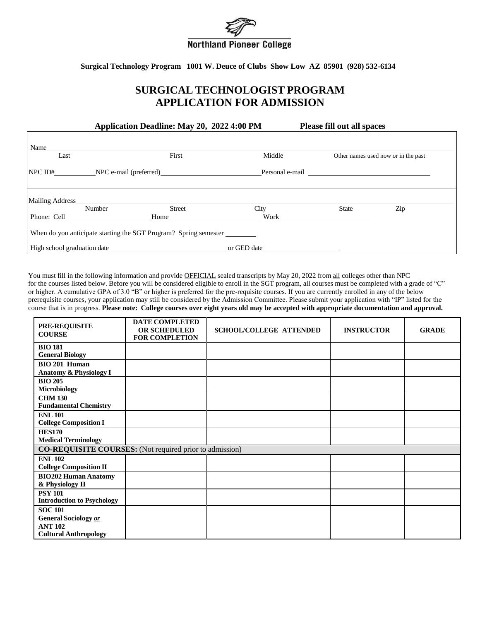

**Surgical Technology Program 1001 W. Deuce of Clubs Show Low AZ 85901 (928) 532-6134**

## **SURGICAL TECHNOLOGIST PROGRAM APPLICATION FOR ADMISSION**

**Application Deadline: May 20, 2022 4:00 PM Please fill out all spaces**

| Name<br>Last    |             | First                                                            | Middle      |                                                                                                                                                                                                                                      | Other names used now or in the past |
|-----------------|-------------|------------------------------------------------------------------|-------------|--------------------------------------------------------------------------------------------------------------------------------------------------------------------------------------------------------------------------------------|-------------------------------------|
|                 |             |                                                                  |             | Personal e-mail <b>example and the contract of the contract of the contract of the contract of the contract of the contract of the contract of the contract of the contract of the contract of the contract of the contract of t</b> |                                     |
| Mailing Address | Number      | <b>Street</b>                                                    | City        | State                                                                                                                                                                                                                                | Zip                                 |
|                 | Phone: Cell | Home                                                             | Work        |                                                                                                                                                                                                                                      |                                     |
|                 |             | When do you anticipate starting the SGT Program? Spring semester |             |                                                                                                                                                                                                                                      |                                     |
|                 |             |                                                                  | or GED date |                                                                                                                                                                                                                                      |                                     |

You must fill in the following information and provide OFFICIAL sealed transcripts by May 20, 2022 from all colleges other than NPC for the courses listed below. Before you will be considered eligible to enroll in the SGT program, all courses must be completed with a grade of "C" or higher. A cumulative GPA of 3.0 "B" or higher is preferred for the pre-requisite courses. If you are currently enrolled in any of the below prerequisite courses, your application may still be considered by the Admission Committee. Please submit your application with "IP" listed for the course that is in progress. **Please note: College courses over eight years old may be accepted with appropriate documentation and approval.**

| <b>PRE-REQUISITE</b><br><b>COURSE</b>                                                           | <b>DATE COMPLETED</b><br><b>OR SCHEDULED</b><br><b>FOR COMPLETION</b> | <b>SCHOOL/COLLEGE ATTENDED</b> | <b>INSTRUCTOR</b> | <b>GRADE</b> |  |  |  |
|-------------------------------------------------------------------------------------------------|-----------------------------------------------------------------------|--------------------------------|-------------------|--------------|--|--|--|
| <b>BIO 181</b><br><b>General Biology</b>                                                        |                                                                       |                                |                   |              |  |  |  |
| <b>BIO 201 Human</b><br>Anatomy & Physiology I                                                  |                                                                       |                                |                   |              |  |  |  |
| <b>BIO 205</b><br><b>Microbiology</b>                                                           |                                                                       |                                |                   |              |  |  |  |
| <b>CHM 130</b><br><b>Fundamental Chemistry</b>                                                  |                                                                       |                                |                   |              |  |  |  |
| <b>ENL 101</b><br><b>College Composition I</b>                                                  |                                                                       |                                |                   |              |  |  |  |
| <b>HES170</b><br><b>Medical Terminology</b>                                                     |                                                                       |                                |                   |              |  |  |  |
| <b>CO-REQUISITE COURSES:</b> (Not required prior to admission)                                  |                                                                       |                                |                   |              |  |  |  |
| <b>ENL 102</b><br><b>College Composition II</b>                                                 |                                                                       |                                |                   |              |  |  |  |
| <b>BIO202 Human Anatomy</b><br>& Physiology II                                                  |                                                                       |                                |                   |              |  |  |  |
| <b>PSY 101</b><br><b>Introduction to Psychology</b>                                             |                                                                       |                                |                   |              |  |  |  |
| <b>SOC 101</b><br><b>General Sociology or</b><br><b>ANT 102</b><br><b>Cultural Anthropology</b> |                                                                       |                                |                   |              |  |  |  |